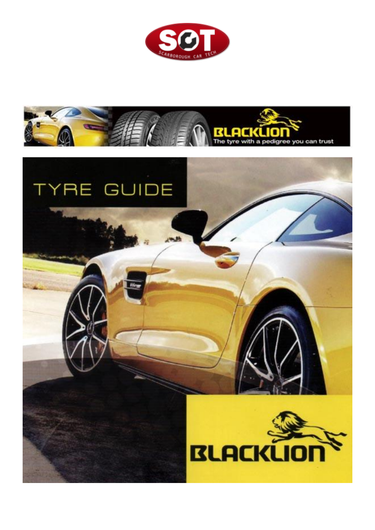



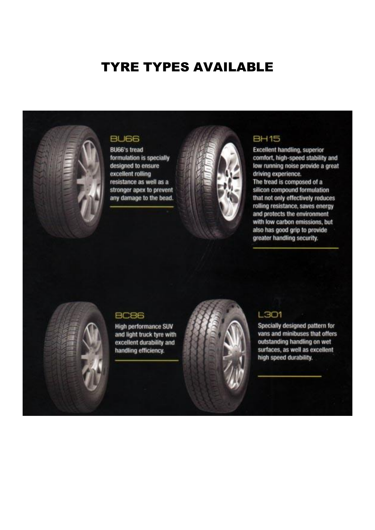## **TYRE TYPES AVAILABLE**



## **BU66**

**BU66's tread** formulation is specially designed to ensure excellent rolling resistance as well as a stronger apex to prevent any damage to the bead.



## **BH15**

**Excellent handling, superior** comfort, high-speed stability and low running noise provide a great driving experience. The tread is composed of a silicon compound formulation that not only effectively reduces rolling resistance, saves energy and protects the environment with low carbon emissions, but also has good grip to provide greater handling security.



#### **BC86**

**High performance SUV** and light truck tyre with excellent durability and handling efficiency.



## L301

Specially designed pattern for vans and minibuses that offers outstanding handling on wet surfaces, as well as excellent high speed durability.